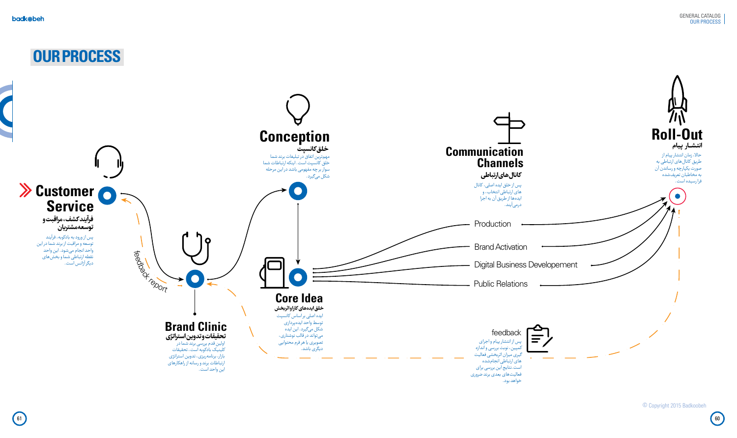